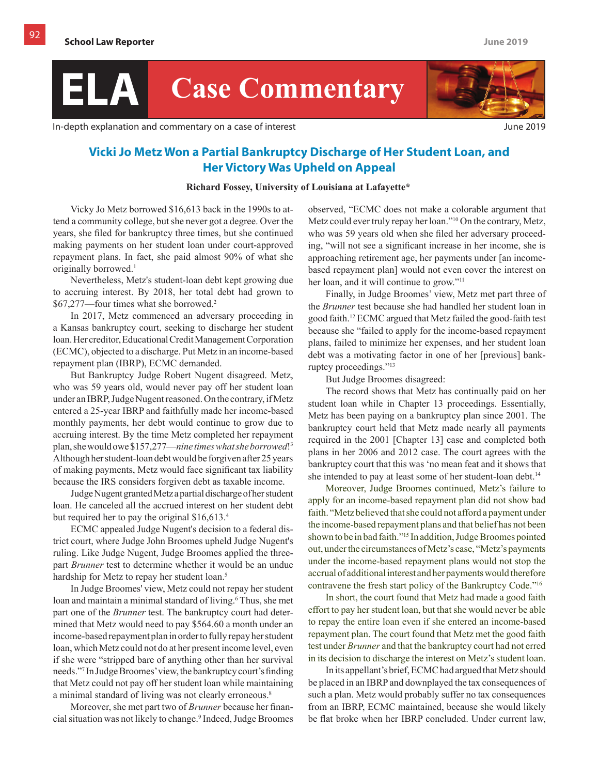## **ELA Case Commentary**

In-depth explanation and commentary on a case of interest June 2019



## **Vicki Jo Metz Won a Partial Bankruptcy Discharge of Her Student Loan, and Her Victory Was Upheld on Appeal**

## **Richard Fossey, University of Louisiana at Lafayette\***

Vicky Jo Metz borrowed \$16,613 back in the 1990s to attend a community college, but she never got a degree. Over the years, she filed for bankruptcy three times, but she continued making payments on her student loan under court-approved repayment plans. In fact, she paid almost 90% of what she originally borrowed.<sup>1</sup>

Nevertheless, Metz's student-loan debt kept growing due to accruing interest. By 2018, her total debt had grown to \$67,277—four times what she borrowed.<sup>2</sup>

In 2017, Metz commenced an adversary proceeding in a Kansas bankruptcy court, seeking to discharge her student loan. Her creditor, Educational Credit Management Corporation (ECMC), objected to a discharge. Put Metz in an income-based repayment plan (IBRP), ECMC demanded.

But Bankruptcy Judge Robert Nugent disagreed. Metz, who was 59 years old, would never pay off her student loan under an IBRP, Judge Nugent reasoned. On the contrary, if Metz entered a 25-year IBRP and faithfully made her income-based monthly payments, her debt would continue to grow due to accruing interest. By the time Metz completed her repayment plan, she would owe \$157,277—*nine times what she borrowed*!<sup>3</sup> Although her student-loan debt would be forgiven after 25 years of making payments, Metz would face significant tax liability because the IRS considers forgiven debt as taxable income.

Judge Nugent granted Metz a partial discharge of her student loan. He canceled all the accrued interest on her student debt but required her to pay the original \$16,613.<sup>4</sup>

ECMC appealed Judge Nugent's decision to a federal district court, where Judge John Broomes upheld Judge Nugent's ruling. Like Judge Nugent, Judge Broomes applied the threepart *Brunner* test to determine whether it would be an undue hardship for Metz to repay her student loan.<sup>5</sup>

In Judge Broomes' view, Metz could not repay her student loan and maintain a minimal standard of living.<sup>6</sup> Thus, she met part one of the *Brunner* test. The bankruptcy court had determined that Metz would need to pay \$564.60 a month under an income-based repayment plan in order to fully repay her student loan, which Metz could not do at her present income level, even if she were "stripped bare of anything other than her survival needs."7 In Judge Broomes' view, the bankruptcy court's finding that Metz could not pay off her student loan while maintaining a minimal standard of living was not clearly erroneous.<sup>8</sup>

Moreover, she met part two of *Brunner* because her financial situation was not likely to change.<sup>9</sup> Indeed, Judge Broomes observed, "ECMC does not make a colorable argument that Metz could ever truly repay her loan."10 On the contrary, Metz, who was 59 years old when she filed her adversary proceeding, "will not see a significant increase in her income, she is approaching retirement age, her payments under [an incomebased repayment plan] would not even cover the interest on her loan, and it will continue to grow."<sup>11</sup>

Finally, in Judge Broomes' view, Metz met part three of the *Brunner* test because she had handled her student loan in good faith.<sup>12</sup> ECMC argued that Metz failed the good-faith test because she "failed to apply for the income-based repayment plans, failed to minimize her expenses, and her student loan debt was a motivating factor in one of her [previous] bankruptcy proceedings."<sup>13</sup>

But Judge Broomes disagreed:

The record shows that Metz has continually paid on her student loan while in Chapter 13 proceedings. Essentially, Metz has been paying on a bankruptcy plan since 2001. The bankruptcy court held that Metz made nearly all payments required in the 2001 [Chapter 13] case and completed both plans in her 2006 and 2012 case. The court agrees with the bankruptcy court that this was 'no mean feat and it shows that she intended to pay at least some of her student-loan debt.<sup>14</sup>

Moreover, Judge Broomes continued, Metz's failure to apply for an income-based repayment plan did not show bad faith. "Metz believed that she could not afford a payment under the income-based repayment plans and that belief has not been shown to be in bad faith."<sup>15</sup> In addition, Judge Broomes pointed out, under the circumstances of Metz's case, "Metz's payments under the income-based repayment plans would not stop the accrual of additional interest and her payments would therefore contravene the fresh start policy of the Bankruptcy Code."<sup>16</sup>

In short, the court found that Metz had made a good faith effort to pay her student loan, but that she would never be able to repay the entire loan even if she entered an income-based repayment plan. The court found that Metz met the good faith test under *Brunner* and that the bankruptcy court had not erred in its decision to discharge the interest on Metz's student loan.

In its appellant's brief, ECMC had argued that Metz should be placed in an IBRP and downplayed the tax consequences of such a plan. Metz would probably suffer no tax consequences from an IBRP, ECMC maintained, because she would likely be flat broke when her IBRP concluded. Under current law,